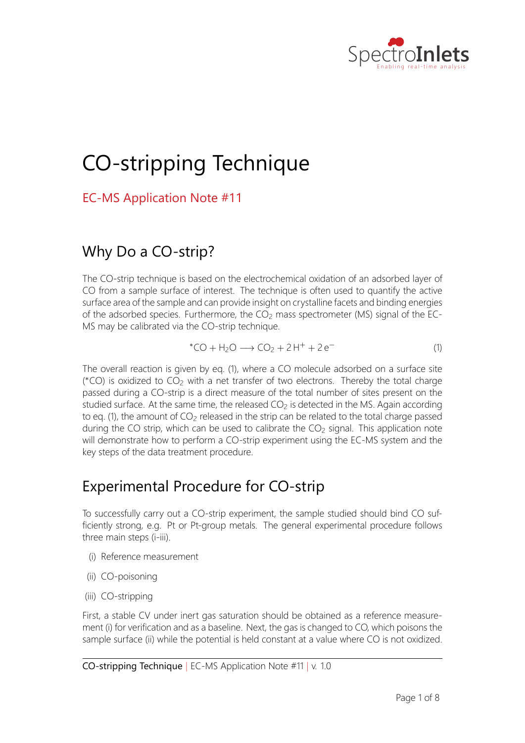

# CO‐stripping Technique

EC‐MS Application Note #11

# Why Do a CO-strip?

The CO-strip technique is based on the electrochemical oxidation of an adsorbed layer of CO from a sample surface of interest. The technique is often used to quantify the active surface area of the sample and can provide insight on crystalline facets and binding energies of the adsorbed species. Furthermore, the  $CO<sub>2</sub>$  mass spectrometer (MS) signal of the EC-MS may be calibrated via the CO-strip technique.

$$
^{\ast}CO + H_2O \longrightarrow CO_2 + 2H^+ + 2e^-
$$
 (1)

The overall reaction is given by eq. (1), where a CO molecule adsorbed on a surface site (\*CO) is oxidized to CO<sub>2</sub> with a net transfer of two electrons. Thereby the total charge passed during a CO‐strip is a direct measure of the total number of sites present on the studied surface. At the same time, the released  $CO<sub>2</sub>$  is detected in the MS. Again according to eq. (1), the amount of  $CO<sub>2</sub>$  released in the strip can be related to the total charge passed during the CO strip, which can be used to calibrate the  $CO<sub>2</sub>$  signal. This application note will demonstrate how to perform a CO-strip experiment using the EC-MS system and the key steps of the data treatment procedure.

# Experimental Procedure for CO‐strip

To successfully carry out a CO-strip experiment, the sample studied should bind CO sufficiently strong, e.g. Pt or Pt-group metals. The general experimental procedure follows three main steps (i-iii).

- (i) Reference measurement
- (ii) CO-poisoning
- (iii) CO-stripping

First, a stable CV under inert gas saturation should be obtained as a reference measurement (i) for verification and as a baseline. Next, the gas is changed to CO, which poisons the sample surface (ii) while the potential is held constant at a value where CO is not oxidized.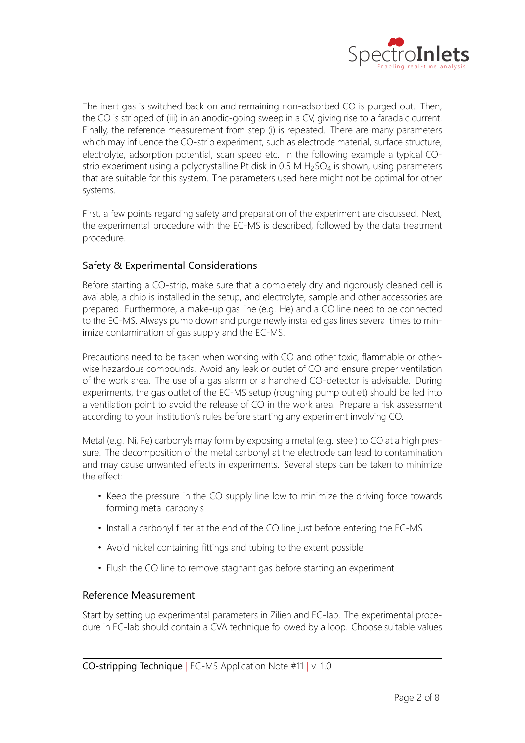

The inert gas is switched back on and remaining non-adsorbed CO is purged out. Then, the CO is stripped of (iii) in an anodic-going sweep in a CV, giving rise to a faradaic current. Finally, the reference measurement from step (i) is repeated. There are many parameters which may influence the CO-strip experiment, such as electrode material, surface structure, electrolyte, adsorption potential, scan speed etc. In the following example a typical CO‐ strip experiment using a polycrystalline Pt disk in 0.5 M  $H_2SO_4$  is shown, using parameters that are suitable for this system. The parameters used here might not be optimal for other systems.

First, a few points regarding safety and preparation of the experiment are discussed. Next, the experimental procedure with the EC‐MS is described, followed by the data treatment procedure.

### Safety & Experimental Considerations

Before starting a CO-strip, make sure that a completely dry and rigorously cleaned cell is available, a chip is installed in the setup, and electrolyte, sample and other accessories are prepared. Furthermore, a make-up gas line (e.g. He) and a CO line need to be connected to the EC‐MS. Always pump down and purge newly installed gas lines several times to min‐ imize contamination of gas supply and the EC‐MS.

Precautions need to be taken when working with CO and other toxic, flammable or other‐ wise hazardous compounds. Avoid any leak or outlet of CO and ensure proper ventilation of the work area. The use of a gas alarm or a handheld CO‐detector is advisable. During experiments, the gas outlet of the EC-MS setup (roughing pump outlet) should be led into a ventilation point to avoid the release of CO in the work area. Prepare a risk assessment according to your institution's rules before starting any experiment involving CO.

Metal (e.g. Ni, Fe) carbonyls may form by exposing a metal (e.g. steel) to CO at a high pressure. The decomposition of the metal carbonyl at the electrode can lead to contamination and may cause unwanted effects in experiments. Several steps can be taken to minimize the effect:

- Keep the pressure in the CO supply line low to minimize the driving force towards forming metal carbonyls
- Install a carbonyl filter at the end of the CO line just before entering the EC-MS
- Avoid nickel containing fittings and tubing to the extent possible
- Flush the CO line to remove stagnant gas before starting an experiment

### Reference Measurement

Start by setting up experimental parameters in Zilien and EC‐lab. The experimental proce‐ dure in EC‐lab should contain a CVA technique followed by a loop. Choose suitable values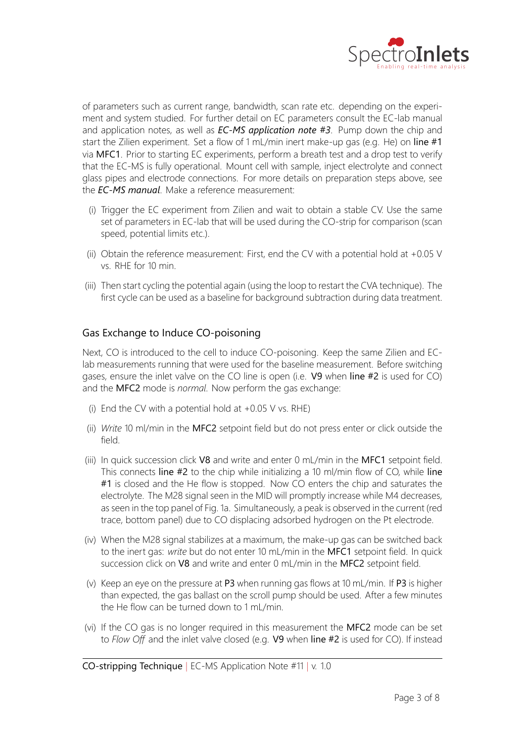

of parameters such as current range, bandwidth, scan rate etc. depending on the experi‐ ment and system studied. For further detail on EC parameters consult the EC‐lab manual and application notes, as well as *EC‐MS application note #3*. Pump down the chip and start the Zilien experiment. Set a flow of 1 mL/min inert make-up gas (e.g. He) on line  $#1$ via MFC1. Prior to starting EC experiments, perform a breath test and a drop test to verify that the EC‐MS is fully operational. Mount cell with sample, inject electrolyte and connect glass pipes and electrode connections. For more details on preparation steps above, see the *EC‐MS manual*. Make a reference measurement:

- (i) Trigger the EC experiment from Zilien and wait to obtain a stable CV. Use the same set of parameters in EC-lab that will be used during the CO-strip for comparison (scan speed, potential limits etc.).
- (ii) Obtain the reference measurement: First, end the CV with a potential hold at  $+0.05$  V vs. RHE for 10 min.
- (iii) Then start cycling the potential again (using the loop to restart the CVA technique). The first cycle can be used as a baseline for background subtraction during data treatment.

#### Gas Exchange to Induce CO‐poisoning

Next, CO is introduced to the cell to induce CO-poisoning. Keep the same Zilien and EClab measurements running that were used for the baseline measurement. Before switching gases, ensure the inlet valve on the CO line is open (i.e.  $V9$  when line #2 is used for CO) and the MFC2 mode is *normal*. Now perform the gas exchange:

- (i) End the CV with a potential hold at  $+0.05$  V vs. RHE)
- (ii) Write 10 ml/min in the MFC2 setpoint field but do not press enter or click outside the field.
- (iii) In quick succession click V8 and write and enter 0 mL/min in the MFC1 setpoint field. This connects line  $#2$  to the chip while initializing a 10 ml/min flow of CO, while line #1 is closed and the He flow is stopped. Now CO enters the chip and saturates the electrolyte. The M28 signal seen in the MID will promptly increase while M4 decreases, as seen in the top panel of Fig. 1a. Simultaneously, a peak is observed in the current (red trace, bottom panel) due to CO displacing adsorbed hydrogen on the Pt electrode.
- (iv) When the M28 signal stabilizes at a maximum, the make-up gas can be switched back to the inert gas: *write* but do not enter 10 mL/min in the MFC1 setpoint field. In quick succession click on V8 and write and enter 0 mL/min in the MFC2 setpoint field.
- (v) Keep an eye on the pressure at P3 when running gas flows at 10 mL/min. If P3 is higher than expected, the gas ballast on the scroll pump should be used. After a few minutes the He flow can be turned down to 1 mL/min.
- (vi) If the CO gas is no longer required in this measurement the  $MFC2$  mode can be set to Flow Off and the inlet valve closed (e.g. V9 when line #2 is used for CO). If instead

CO‐stripping Technique *|* EC‐MS Application Note #11 *|* v. 1.0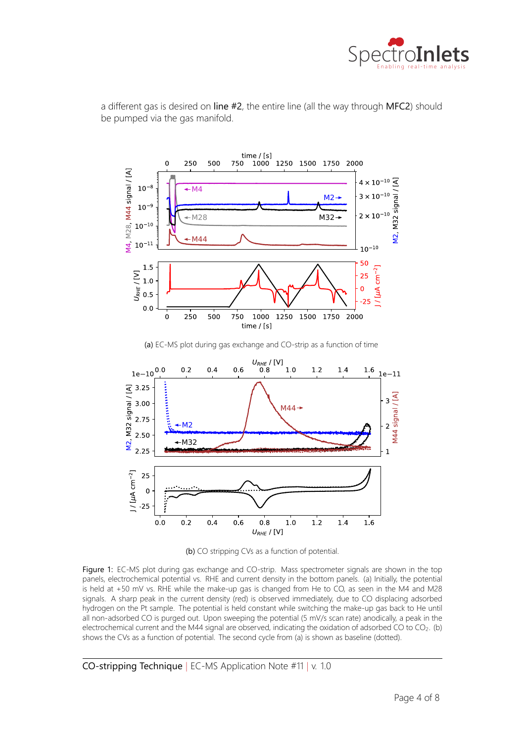



a different gas is desired on line  $#2$ , the entire line (all the way through MFC2) should be pumped via the gas manifold.



 $0.8$ 

 $U_{RHE}$  / [V]

 $1.0$ 

 $1.2$ 

 $1.4$ 

 $1.6$ 

Figure 1: EC-MS plot during gas exchange and CO-strip. Mass spectrometer signals are shown in the top panels, electrochemical potential vs. RHE and current density in the bottom panels. (a) Initially, the potential is held at +50 mV vs. RHE while the make-up gas is changed from He to CO, as seen in the M4 and M28 signals. A sharp peak in the current density (red) is observed immediately, due to CO displacing adsorbed hydrogen on the Pt sample. The potential is held constant while switching the make-up gas back to He until all non-adsorbed CO is purged out. Upon sweeping the potential (5 mV/s scan rate) anodically, a peak in the electrochemical current and the M44 signal are observed, indicating the oxidation of adsorbed CO to CO<sub>2</sub>. (b) shows the CVs as a function of potential. The second cycle from (a) is shown as baseline (dotted).

CO‐stripping Technique *|* EC‐MS Application Note #11 *|* v. 1.0

 $1/[µA cm<sup>-2</sup>]$ 

25  $\mathbf 0$  $-25$ 

 $0.0$ 

 $0.2$ 

 $0.4$ 

 $0.6$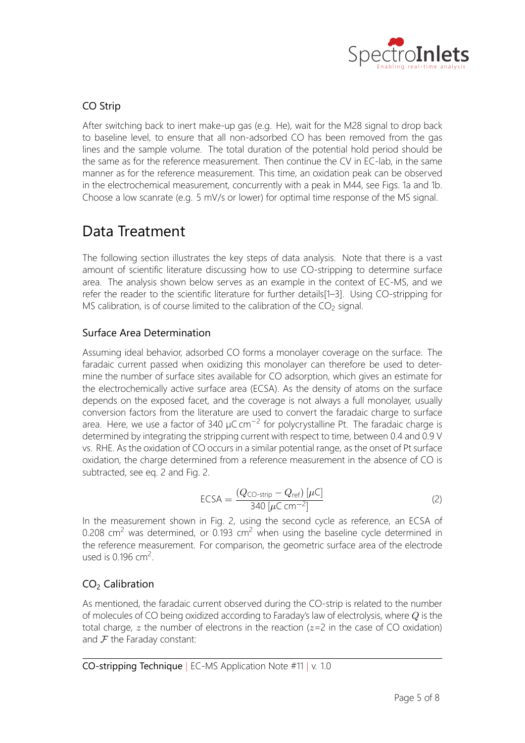

## CO Strip

After switching back to inert make-up gas (e.g. He), wait for the M28 signal to drop back to baseline level, to ensure that all non‐adsorbed CO has been removed from the gas lines and the sample volume. The total duration of the potential hold period should be the same as for the reference measurement. Then continue the CV in EC‐lab, in the same manner as for the reference measurement. This time, an oxidation peak can be observed in the electrochemical measurement, concurrently with a peak in M44, see Figs. 1a and 1b. Choose a low scanrate (e.g. 5 mV/s or lower) for optimal time response of the MS signal.

# Data Treatment

The following section illustrates the key steps of data analysis. Note that there is a vast amount of scientific literature discussing how to use CO‐stripping to determine surface area. The analysis shown below serves as an example in the context of EC‐MS, and we refer the reader to the scientific literature for further details[1–3]. Using CO‐stripping for MS calibration, is of course limited to the calibration of the  $CO<sub>2</sub>$  signal.

### Surface Area Determination

Assuming ideal behavior, adsorbed CO forms a monolayer coverage on the surface. The faradaic current passed when oxidizing this monolayer can therefore be used to determine the number of surface sites available for CO adsorption, which gives an estimate for the electrochemically active surface area (ECSA). As the density of atoms on the surface depends on the exposed facet, and the coverage is not always a full monolayer, usually conversion factors from the literature are used to convert the faradaic charge to surface area. Here, we use a factor of 340  $\mu$ C cm<sup>-2</sup> for polycrystalline Pt. The faradaic charge is determined by integrating the stripping current with respect to time, between 0.4 and 0.9 V vs. RHE. As the oxidation of CO occurs in a similar potential range, as the onset of Pt surface oxidation, the charge determined from a reference measurement in the absence of CO is subtracted, see eq. 2 and Fig. 2.

$$
ECSA = \frac{(Q_{\text{CO-strip}} - Q_{\text{ref}}) [\mu C]}{340 [\mu C \text{ cm}^{-2}]}
$$
 (2)

In the measurement shown in Fig. 2, using the second cycle as reference, an ECSA of 0.208 cm<sup>2</sup> was determined, or 0.193 cm<sup>2</sup> when using the baseline cycle determined in the reference measurement. For comparison, the geometric surface area of the electrode used is 0.196  $\text{cm}^2$ .

### CO<sub>2</sub> Calibration

As mentioned, the faradaic current observed during the CO‐strip is related to the number of molecules of CO being oxidized according to Faraday's law of electrolysis, where *Q* is the total charge,  $z$  the number of electrons in the reaction  $(z=2)$  in the case of CO oxidation) and *F* the Faraday constant: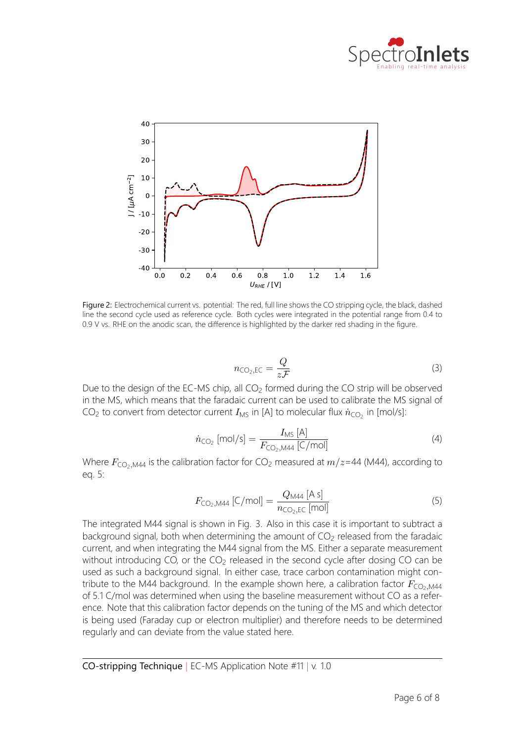



Figure 2: Electrochemical current vs. potential: The red, full line shows the CO stripping cycle, the black, dashed line the second cycle used as reference cycle. Both cycles were integrated in the potential range from 0.4 to 0.9 V vs. RHE on the anodic scan, the difference is highlighted by the darker red shading in the figure.

$$
n_{\text{CO}_2,\text{EC}} = \frac{Q}{z\mathcal{F}}\tag{3}
$$

Due to the design of the EC-MS chip, all  $CO<sub>2</sub>$  formed during the CO strip will be observed in the MS, which means that the faradaic current can be used to calibrate the MS signal of CO<sub>2</sub> to convert from detector current  $I_{\rm MS}$  in [A] to molecular flux  $\dot{n}_{\rm CO_2}$  in [mol/s]:

$$
\dot{n}_{\text{CO}_2} \text{ [mol/s]} = \frac{I_{\text{MS}} \text{ [A]}}{F_{\text{CO}_2,\text{M44}} \text{ [C/mol]}}
$$
(4)

Where  $F_{\text{CO}_2, \text{M44}}$  is the calibration factor for CO<sub>2</sub> measured at  $m/z$ =44 (M44), according to eq. 5:

$$
F_{\text{CO}_2,\text{M44}}\left[\text{C/mol}\right] = \frac{Q_{\text{M44}}\left[\text{A s}\right]}{n_{\text{CO}_2,\text{EC}}\left[\text{mol}\right]}
$$
(5)

The integrated M44 signal is shown in Fig. 3. Also in this case it is important to subtract a background signal, both when determining the amount of  $CO<sub>2</sub>$  released from the faradaic current, and when integrating the M44 signal from the MS. Either a separate measurement without introducing CO, or the CO<sub>2</sub> released in the second cycle after dosing CO can be used as such a background signal. In either case, trace carbon contamination might contribute to the M44 background. In the example shown here, a calibration factor  $F_{\text{CO}_2,M44}$ of 5.1 C/mol was determined when using the baseline measurement without CO as a refer‐ ence. Note that this calibration factor depends on the tuning of the MS and which detector is being used (Faraday cup or electron multiplier) and therefore needs to be determined regularly and can deviate from the value stated here.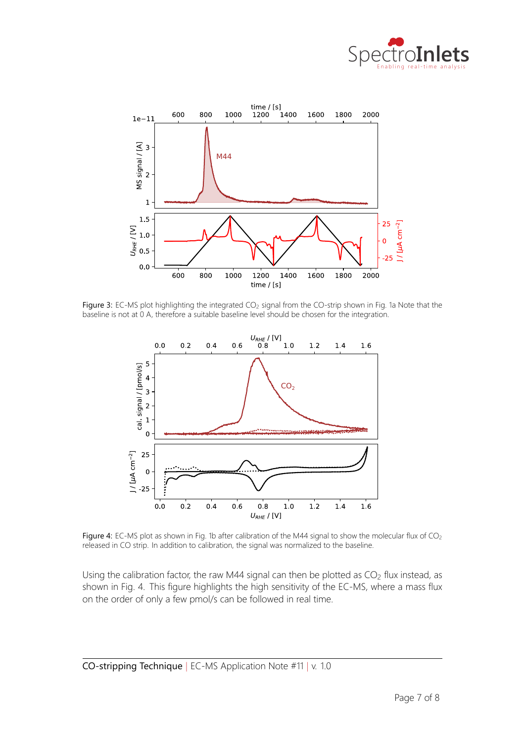



Figure 3: EC-MS plot highlighting the integrated  $CO<sub>2</sub>$  signal from the CO-strip shown in Fig. 1a Note that the baseline is not at 0 A, therefore a suitable baseline level should be chosen for the integration.



Figure 4: EC-MS plot as shown in Fig. 1b after calibration of the M44 signal to show the molecular flux of CO<sub>2</sub> released in CO strip. In addition to calibration, the signal was normalized to the baseline.

Using the calibration factor, the raw M44 signal can then be plotted as  $CO<sub>2</sub>$  flux instead, as shown in Fig. 4. This figure highlights the high sensitivity of the EC‐MS, where a mass flux on the order of only a few pmol/s can be followed in real time.